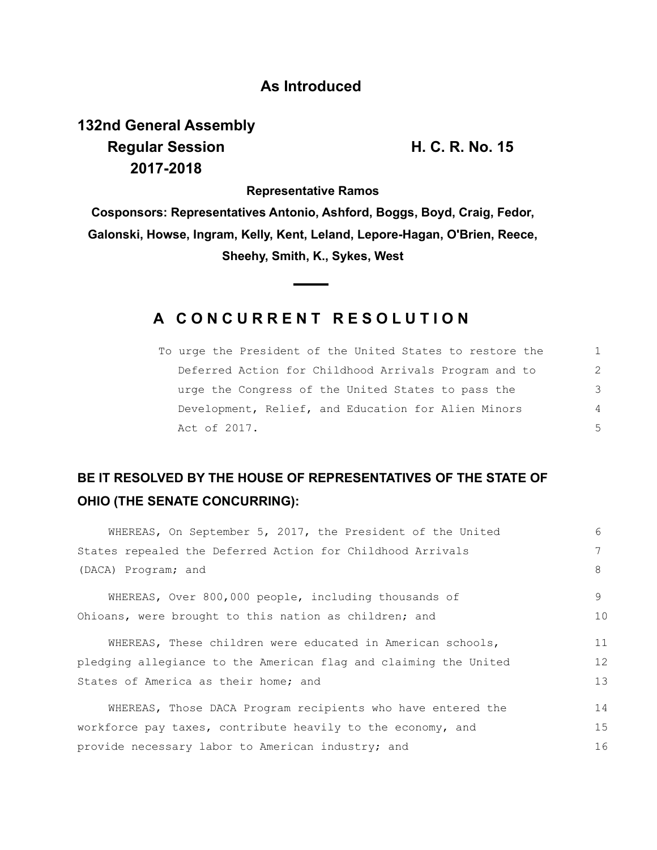#### **As Introduced**

# **132nd General Assembly Regular Session H. C. R. No. 15 2017-2018**

**Representative Ramos**

**Cosponsors: Representatives Antonio, Ashford, Boggs, Boyd, Craig, Fedor, Galonski, Howse, Ingram, Kelly, Kent, Leland, Lepore-Hagan, O'Brien, Reece, Sheehy, Smith, K., Sykes, West**

### **A C O N C U R R E N T R E S O L U T I O N**

| To urge the President of the United States to restore the | $\mathbb{1}$ |
|-----------------------------------------------------------|--------------|
| Deferred Action for Childhood Arrivals Program and to     | 2            |
| urge the Congress of the United States to pass the        | 3            |
| Development, Relief, and Education for Alien Minors       | 4            |
| Act of 2017.                                              | 5.           |

## **BE IT RESOLVED BY THE HOUSE OF REPRESENTATIVES OF THE STATE OF OHIO (THE SENATE CONCURRING):**

| WHEREAS, On September 5, 2017, the President of the United       | 6       |  |
|------------------------------------------------------------------|---------|--|
| States repealed the Deferred Action for Childhood Arrivals       | 7       |  |
| (DACA) Program; and                                              | 8       |  |
| WHEREAS, Over 800,000 people, including thousands of             | $\circ$ |  |
| Ohioans, were brought to this nation as children; and            | 10      |  |
| WHEREAS, These children were educated in American schools,       | 11      |  |
| pledging allegiance to the American flag and claiming the United | 12      |  |
| States of America as their home; and                             | 13      |  |
| WHEREAS, Those DACA Program recipients who have entered the      | 14      |  |
| workforce pay taxes, contribute heavily to the economy, and      | 15      |  |
| provide necessary labor to American industry; and                |         |  |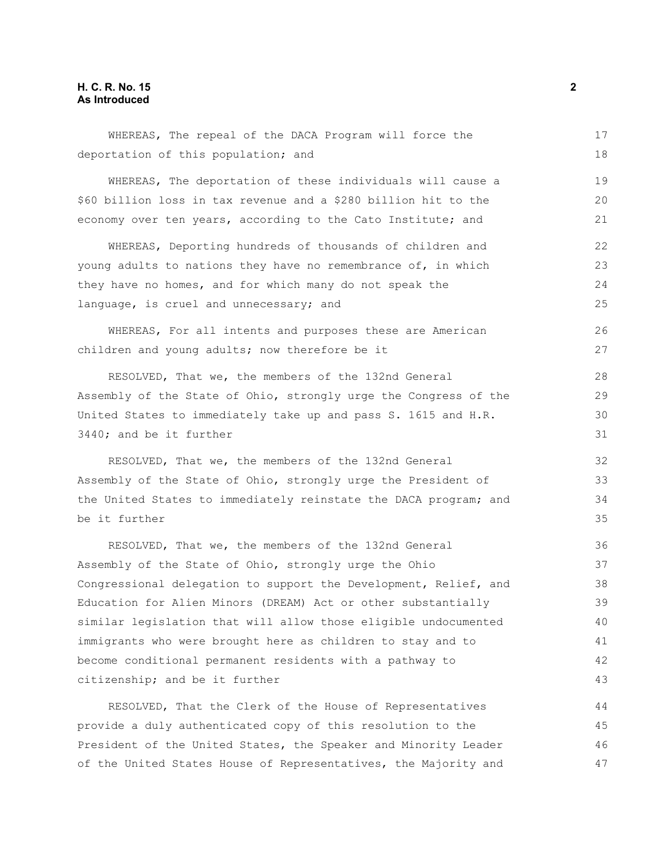#### **H. C. R. No. 15 2 As Introduced**

| WHEREAS, The repeal of the DACA Program will force the           | 17 |
|------------------------------------------------------------------|----|
| deportation of this population; and                              | 18 |
| WHEREAS, The deportation of these individuals will cause a       | 19 |
| \$60 billion loss in tax revenue and a \$280 billion hit to the  | 20 |
| economy over ten years, according to the Cato Institute; and     | 21 |
| WHEREAS, Deporting hundreds of thousands of children and         | 22 |
| young adults to nations they have no remembrance of, in which    | 23 |
| they have no homes, and for which many do not speak the          | 24 |
| language, is cruel and unnecessary; and                          | 25 |
| WHEREAS, For all intents and purposes these are American         | 26 |
| children and young adults; now therefore be it                   | 27 |
| RESOLVED, That we, the members of the 132nd General              | 28 |
| Assembly of the State of Ohio, strongly urge the Congress of the | 29 |
| United States to immediately take up and pass S. 1615 and H.R.   | 30 |
| 3440; and be it further                                          | 31 |
| RESOLVED, That we, the members of the 132nd General              | 32 |
| Assembly of the State of Ohio, strongly urge the President of    | 33 |
| the United States to immediately reinstate the DACA program; and | 34 |
| be it further                                                    | 35 |
| RESOLVED, That we, the members of the 132nd General              | 36 |
| Assembly of the State of Ohio, strongly urge the Ohio            | 37 |
| Congressional delegation to support the Development, Relief, and | 38 |
| Education for Alien Minors (DREAM) Act or other substantially    | 39 |
| similar legislation that will allow those eligible undocumented  | 40 |
| immigrants who were brought here as children to stay and to      | 41 |
| become conditional permanent residents with a pathway to         | 42 |
| citizenship; and be it further                                   | 43 |
| RESOLVED, That the Clerk of the House of Representatives         | 44 |
| provide a duly authenticated copy of this resolution to the      | 45 |
| President of the United States, the Speaker and Minority Leader  | 46 |

of the United States House of Representatives, the Majority and

47